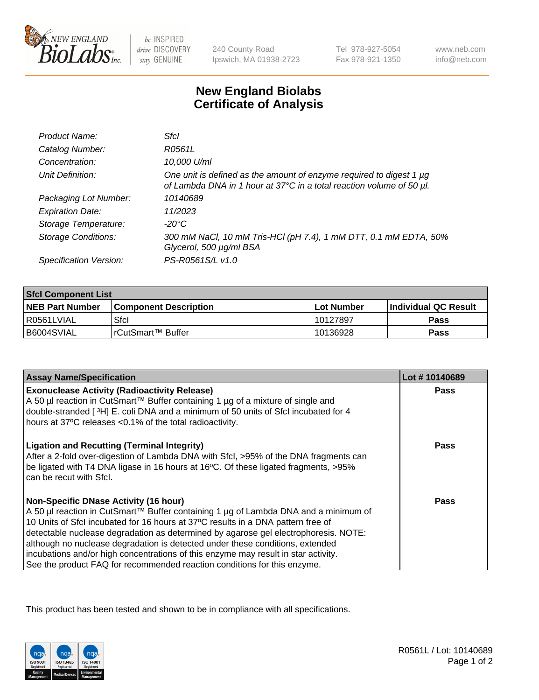

be INSPIRED drive DISCOVERY stay GENUINE

240 County Road Ipswich, MA 01938-2723 Tel 978-927-5054 Fax 978-921-1350

www.neb.com info@neb.com

## **New England Biolabs Certificate of Analysis**

| Product Name:              | Sfcl                                                                                                                                             |
|----------------------------|--------------------------------------------------------------------------------------------------------------------------------------------------|
| Catalog Number:            | R0561L                                                                                                                                           |
| Concentration:             | 10,000 U/ml                                                                                                                                      |
| Unit Definition:           | One unit is defined as the amount of enzyme required to digest 1 $\mu$ g<br>of Lambda DNA in 1 hour at 37°C in a total reaction volume of 50 µl. |
| Packaging Lot Number:      | 10140689                                                                                                                                         |
| <b>Expiration Date:</b>    | 11/2023                                                                                                                                          |
| Storage Temperature:       | -20°C                                                                                                                                            |
| <b>Storage Conditions:</b> | 300 mM NaCl, 10 mM Tris-HCl (pH 7.4), 1 mM DTT, 0.1 mM EDTA, 50%<br>Glycerol, 500 µg/ml BSA                                                      |
| Specification Version:     | PS-R0561S/L v1.0                                                                                                                                 |

| <b>Sfcl Component List</b> |                         |              |                             |  |
|----------------------------|-------------------------|--------------|-----------------------------|--|
| <b>NEB Part Number</b>     | l Component Description | l Lot Number | <b>Individual QC Result</b> |  |
| I R0561LVIAL               | Sfcl                    | 10127897     | Pass                        |  |
| B6004SVIAL                 | l rCutSmart™ Buffer_    | 10136928     | Pass                        |  |

| Lot #10140689 |
|---------------|
| Pass          |
|               |
|               |
| Pass          |
| Pass          |
|               |
|               |
|               |
|               |
|               |
|               |

This product has been tested and shown to be in compliance with all specifications.